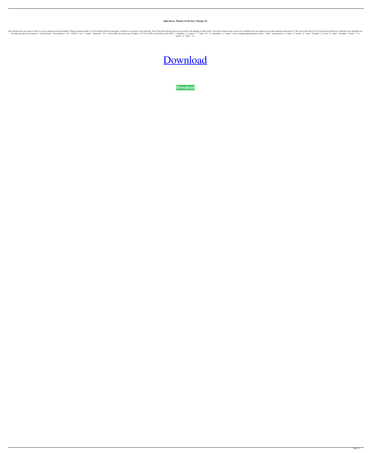**Julia Bosse, Theater of the Ear, Chicago, IL**

It is not related with the registration. Actually it is caused by a virus infection. The PC has been infected and is now not able to run anything. In other words: You need to find out who is your request in your other ques "enerated", "div": "Server URI: hiya.nuvius.org, IP address: 172.16.0.2, SRV record with port ?", "alue": "myshortname" }], "name": [{ "ramily": [{ "value": "Example", "system": ""]}], "short Name": [{ "value": "Example: h "prefix": [{ "value": "ex",

## [Download](https://urluso.com/2l0j7d)

**[Download](https://urluso.com/2l0j7d)**